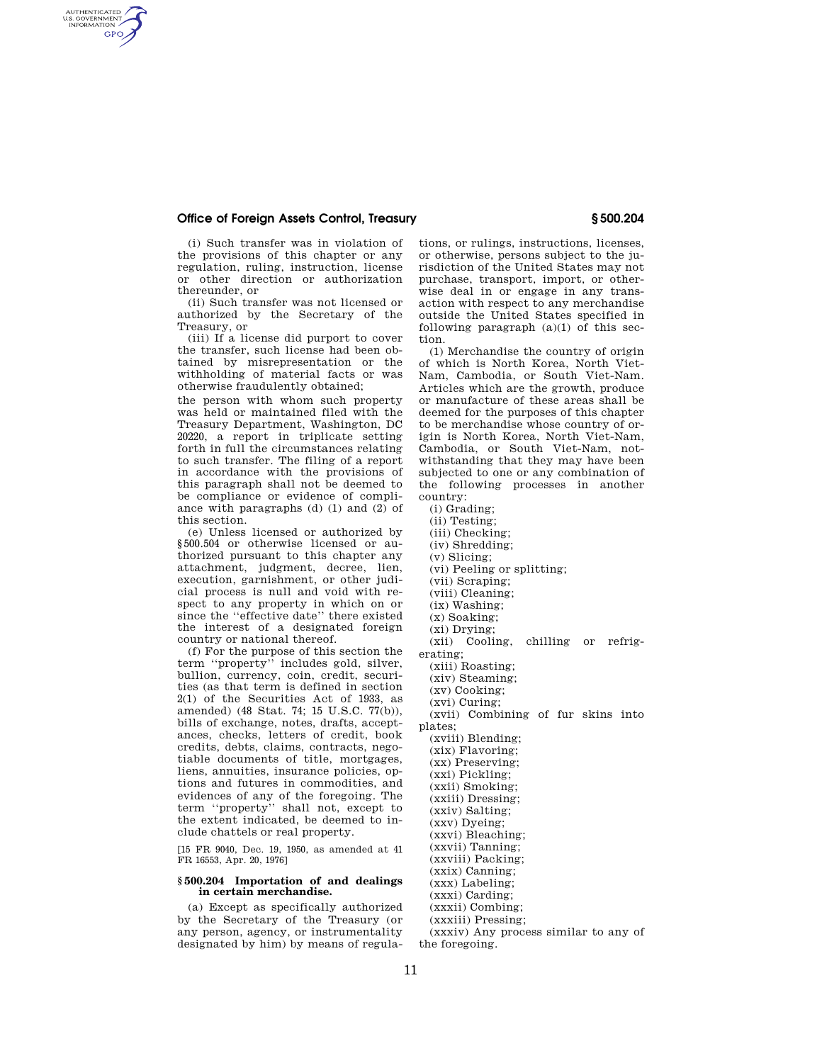## **Office of Foreign Assets Control, Treasury § 500.204**

AUTHENTICATED<br>U.S. GOVERNMENT<br>INFORMATION **GPO** 

> (i) Such transfer was in violation of the provisions of this chapter or any regulation, ruling, instruction, license or other direction or authorization thereunder, or

(ii) Such transfer was not licensed or authorized by the Secretary of the Treasury, or

(iii) If a license did purport to cover the transfer, such license had been obtained by misrepresentation or the withholding of material facts or was otherwise fraudulently obtained;

the person with whom such property was held or maintained filed with the Treasury Department, Washington, DC 20220, a report in triplicate setting forth in full the circumstances relating to such transfer. The filing of a report in accordance with the provisions of this paragraph shall not be deemed to be compliance or evidence of compliance with paragraphs (d) (1) and (2) of this section.

(e) Unless licensed or authorized by §500.504 or otherwise licensed or authorized pursuant to this chapter any attachment, judgment, decree, lien, execution, garnishment, or other judicial process is null and void with respect to any property in which on or since the ''effective date'' there existed the interest of a designated foreign country or national thereof.

(f) For the purpose of this section the term ''property'' includes gold, silver, bullion, currency, coin, credit, securities (as that term is defined in section 2(1) of the Securities Act of 1933, as amended) (48 Stat. 74; 15 U.S.C. 77(b)), bills of exchange, notes, drafts, acceptances, checks, letters of credit, book credits, debts, claims, contracts, negotiable documents of title, mortgages, liens, annuities, insurance policies, options and futures in commodities, and evidences of any of the foregoing. The term ''property'' shall not, except to the extent indicated, be deemed to include chattels or real property.

[15 FR 9040, Dec. 19, 1950, as amended at 41 FR 16553, Apr. 20, 1976]

### **§ 500.204 Importation of and dealings in certain merchandise.**

(a) Except as specifically authorized by the Secretary of the Treasury (or any person, agency, or instrumentality designated by him) by means of regulations, or rulings, instructions, licenses, or otherwise, persons subject to the jurisdiction of the United States may not purchase, transport, import, or otherwise deal in or engage in any transaction with respect to any merchandise outside the United States specified in following paragraph  $(a)(1)$  of this section.

(1) Merchandise the country of origin of which is North Korea, North Viet-Nam, Cambodia, or South Viet-Nam. Articles which are the growth, produce or manufacture of these areas shall be deemed for the purposes of this chapter to be merchandise whose country of origin is North Korea, North Viet-Nam, Cambodia, or South Viet-Nam, notwithstanding that they may have been subjected to one or any combination of the following processes in another country:

- (i) Grading;
- (ii) Testing;
- (iii) Checking;
- (iv) Shredding;
- (v) Slicing;
- (vi) Peeling or splitting;
- (vii) Scraping;
- (viii) Cleaning;
- (ix) Washing;
- (x) Soaking;
- (xi) Drying;
- (xii) Cooling, chilling or refrigerating;
	- (xiii) Roasting;

(xiv) Steaming;

- (xv) Cooking;
- (xvi) Curing;

(xvii) Combining of fur skins into plates;

(xviii) Blending;

- (xix) Flavoring;
- (xx) Preserving;
- (xxi) Pickling;
- (xxii) Smoking;
- (xxiii) Dressing;
- (xxiv) Salting;
- (xxv) Dyeing;
- (xxvi) Bleaching;
- (xxvii) Tanning;
- (xxviii) Packing;
- (xxix) Canning;
- (xxx) Labeling;
- (xxxi) Carding;
- (xxxii) Combing;
- (xxxiii) Pressing;
- (xxxiv) Any process similar to any of the foregoing.